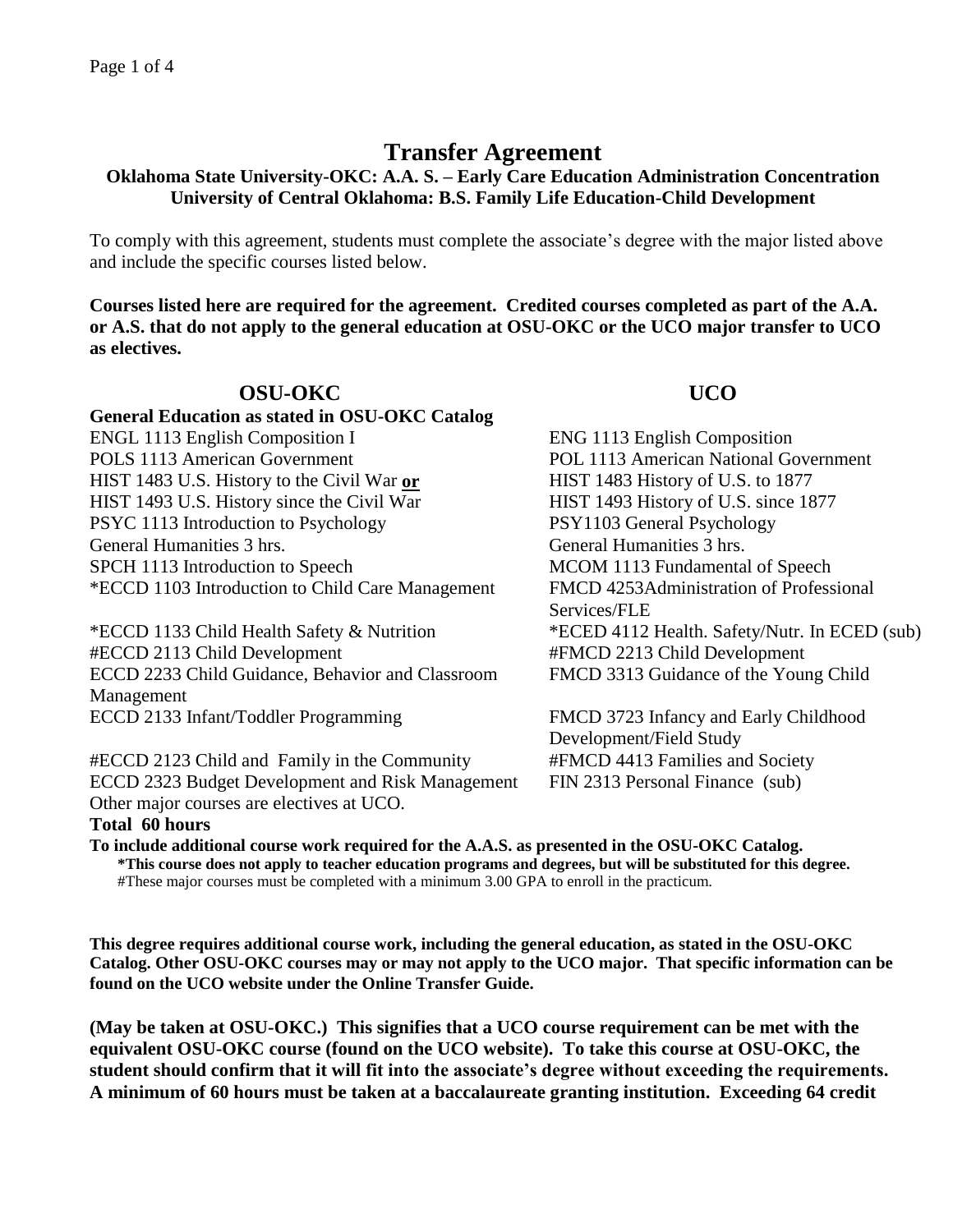# **Transfer Agreement**

## **Oklahoma State University-OKC: A.A. S. – Early Care Education Administration Concentration University of Central Oklahoma: B.S. Family Life Education-Child Development**

To comply with this agreement, students must complete the associate's degree with the major listed above and include the specific courses listed below.

**Courses listed here are required for the agreement. Credited courses completed as part of the A.A. or A.S. that do not apply to the general education at OSU-OKC or the UCO major transfer to UCO as electives.**

### **OSU-OKC UCO General Education as stated in OSU-OKC Catalog** ENGL 1113 English Composition I ENG 1113 English Composition POLS 1113 American Government POL 1113 American National Government HIST 1483 U.S. History to the Civil War **or** HIST 1483 History of U.S. to 1877 HIST 1493 U.S. History since the Civil War HIST 1493 History of U.S. since 1877 PSYC 1113 Introduction to Psychology PSY1103 General Psychology General Humanities 3 hrs. General Humanities 3 hrs. SPCH 1113 Introduction to Speech MCOM 1113 Fundamental of Speech \*ECCD 1103 Introduction to Child Care Management FMCD 4253Administration of Professional Services/FLE \*ECCD 1133 Child Health Safety & Nutrition \*ECED 4112 Health. Safety/Nutr. In ECED (sub) #ECCD 2113 Child Development #FMCD 2213 Child Development ECCD 2233 Child Guidance, Behavior and Classroom Management FMCD 3313 Guidance of the Young Child ECCD 2133 Infant/Toddler Programming FMCD 3723 Infancy and Early Childhood

#ECCD 2123 Child and Family in the Community #FMCD 4413 Families and Society ECCD 2323 Budget Development and Risk Management FIN 2313 Personal Finance (sub) Other major courses are electives at UCO. **Total 60 hours**

Development/Field Study

**To include additional course work required for the A.A.S. as presented in the OSU-OKC Catalog. \*This course does not apply to teacher education programs and degrees, but will be substituted for this degree.** #These major courses must be completed with a minimum 3.00 GPA to enroll in the practicum.

**This degree requires additional course work, including the general education, as stated in the OSU-OKC Catalog. Other OSU-OKC courses may or may not apply to the UCO major. That specific information can be found on the UCO website under the Online Transfer Guide.**

**(May be taken at OSU-OKC.) This signifies that a UCO course requirement can be met with the equivalent OSU-OKC course (found on the UCO website). To take this course at OSU-OKC, the student should confirm that it will fit into the associate's degree without exceeding the requirements. A minimum of 60 hours must be taken at a baccalaureate granting institution. Exceeding 64 credit**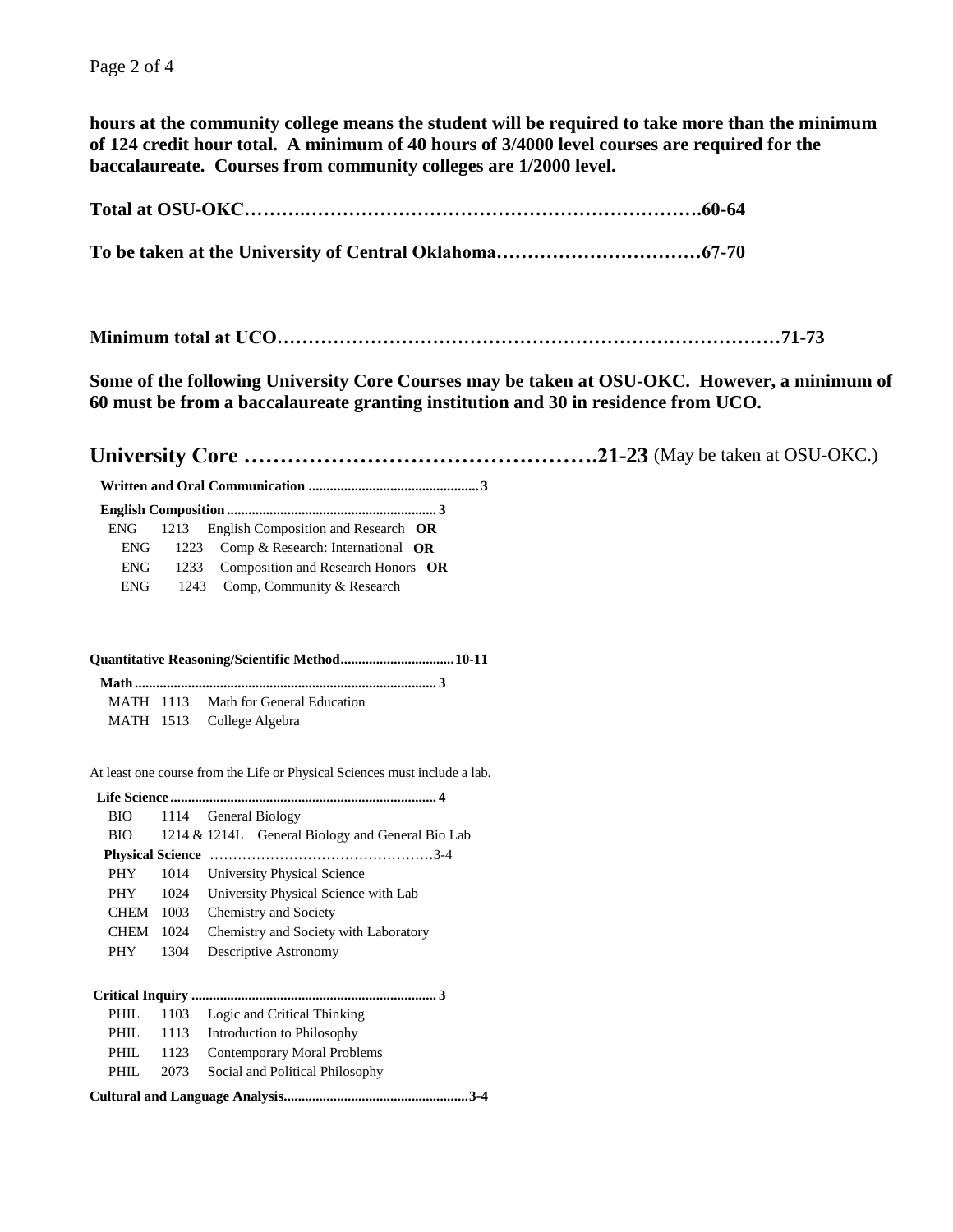**hours at the community college means the student will be required to take more than the minimum of 124 credit hour total. A minimum of 40 hours of 3/4000 level courses are required for the baccalaureate. Courses from community colleges are 1/2000 level.**

**Total at OSU-OKC……….……………………………………………………….60-64**

**To be taken at the University of Central Oklahoma……………………………67-70**

**Minimum total at UCO………………………………………………………………………71-73**

**Some of the following University Core Courses may be taken at OSU-OKC. However, a minimum of 60 must be from a baccalaureate granting institution and 30 in residence from UCO.**

**University Core ………………………………………….21-23** (May be taken at OSU-OKC.)

 **Written and Oral Communication ................................................ 3**

|--|

| ENG- | 1213 English Composition and Research OR |  |
|------|------------------------------------------|--|
| ENG  | 1223 Comp & Research: International OR   |  |
| ENG  | 1233 Composition and Research Honors OR  |  |
| ENG  | 1243 Comp, Community & Research          |  |

#### **Quantitative Reasoning/Scientific Method................................10-11**

|  | MATH 1113 Math for General Education |
|--|--------------------------------------|
|  | MATH 1513 College Algebra            |

At least one course from the Life or Physical Sciences must include a lab.

| BIO         | 1114                    | General Biology                                  |  |  |  |
|-------------|-------------------------|--------------------------------------------------|--|--|--|
| BIO -       |                         | 1214 & 1214L General Biology and General Bio Lab |  |  |  |
|             | <b>Physical Science</b> |                                                  |  |  |  |
| <b>PHY</b>  | 1014                    | University Physical Science                      |  |  |  |
| <b>PHY</b>  | 1024                    | University Physical Science with Lab             |  |  |  |
| CHEM        | 1003                    | <b>Chemistry and Society</b>                     |  |  |  |
| <b>CHEM</b> | 1024                    | Chemistry and Society with Laboratory            |  |  |  |
| <b>PHY</b>  | 1304                    | Descriptive Astronomy                            |  |  |  |
|             |                         |                                                  |  |  |  |
|             |                         |                                                  |  |  |  |
| PHIL        | 1103                    | Logic and Critical Thinking                      |  |  |  |
| PHIL        | 1113                    | Introduction to Philosophy                       |  |  |  |
| PHIL.       | 1123                    | Contemporary Moral Problems                      |  |  |  |
| PHIL.       | 2073                    | Social and Political Philosophy                  |  |  |  |
|             | 3-4                     |                                                  |  |  |  |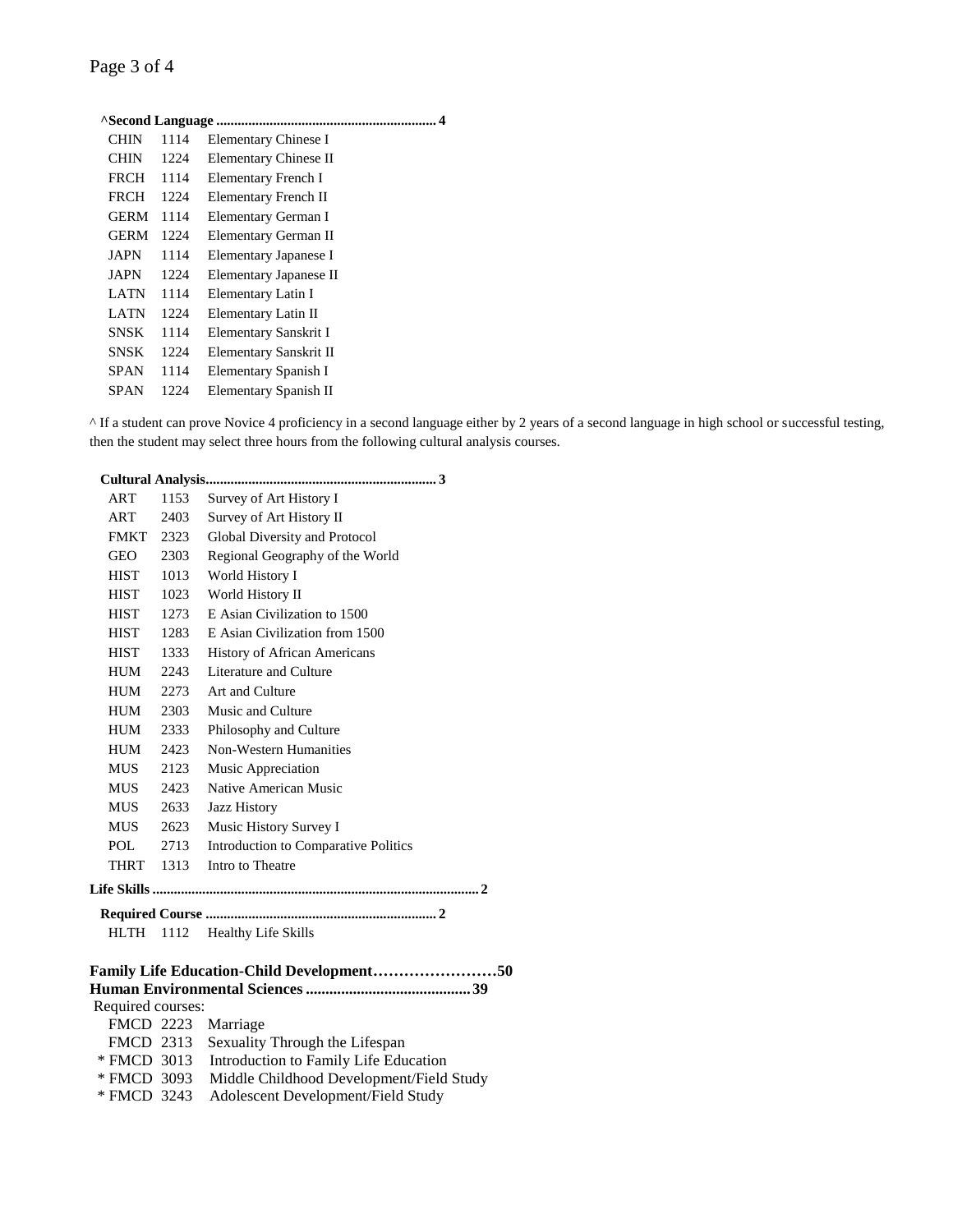| CHIN        | 1114 | Elementary Chinese I   |  |  |
|-------------|------|------------------------|--|--|
| CHIN        | 1224 | Elementary Chinese II  |  |  |
| FRCH        | 1114 | Elementary French I    |  |  |
| FRCH        | 1224 | Elementary French II   |  |  |
| <b>GERM</b> | 1114 | Elementary German I    |  |  |
| <b>GERM</b> | 1224 | Elementary German II   |  |  |
| JAPN        | 1114 | Elementary Japanese I  |  |  |
| JAPN        | 1224 | Elementary Japanese II |  |  |
| LATN        | 1114 | Elementary Latin I     |  |  |
| LATN        | 1224 | Elementary Latin II    |  |  |
| SNSK        | 1114 | Elementary Sanskrit I  |  |  |
| SNSK        | 1224 | Elementary Sanskrit II |  |  |
| SPAN        | 1114 | Elementary Spanish I   |  |  |
| SPAN        | 1224 | Elementary Spanish II  |  |  |

^ If a student can prove Novice 4 proficiency in a second language either by 2 years of a second language in high school or successful testing, then the student may select three hours from the following cultural analysis courses.

| <b>ART</b>                                | 1153 | Survey of Art History I              |  |  |
|-------------------------------------------|------|--------------------------------------|--|--|
| ART                                       | 2403 | Survey of Art History II             |  |  |
| <b>FMKT</b>                               | 2323 | Global Diversity and Protocol        |  |  |
| GEO                                       | 2303 | Regional Geography of the World      |  |  |
| <b>HIST</b>                               | 1013 | World History I                      |  |  |
| <b>HIST</b>                               | 1023 | World History II                     |  |  |
| <b>HIST</b>                               | 1273 | E Asian Civilization to 1500         |  |  |
| HIST                                      | 1283 | E Asian Civilization from 1500       |  |  |
| <b>HIST</b>                               | 1333 | <b>History of African Americans</b>  |  |  |
| HUM                                       | 2243 | Literature and Culture               |  |  |
| HUM                                       | 2273 | Art and Culture                      |  |  |
| HUM                                       | 2303 | Music and Culture                    |  |  |
| <b>HUM</b>                                | 2333 | Philosophy and Culture               |  |  |
| HUM                                       | 2423 | Non-Western Humanities               |  |  |
| <b>MUS</b>                                | 2123 | Music Appreciation                   |  |  |
| <b>MUS</b>                                | 2423 | Native American Music                |  |  |
| <b>MUS</b>                                | 2633 | Jazz History                         |  |  |
| MUS-                                      | 2623 | Music History Survey I               |  |  |
| POL                                       | 2713 | Introduction to Comparative Politics |  |  |
| <b>THRT</b>                               | 1313 | Intro to Theatre                     |  |  |
|                                           |      |                                      |  |  |
|                                           |      |                                      |  |  |
| <b>HLTH</b>                               | 1112 | <b>Healthy Life Skills</b>           |  |  |
|                                           |      |                                      |  |  |
| Family Life Education-Child Development50 |      |                                      |  |  |
|                                           |      |                                      |  |  |
| Required courses:                         |      |                                      |  |  |

| FMCD 2223 Marriage |                                                      |
|--------------------|------------------------------------------------------|
|                    | FMCD 2313 Sexuality Through the Lifespan             |
|                    | * FMCD 3013 Introduction to Family Life Education    |
|                    | * FMCD 3093 Middle Childhood Development/Field Study |
|                    | * FMCD 3243 Adolescent Development/Field Study       |